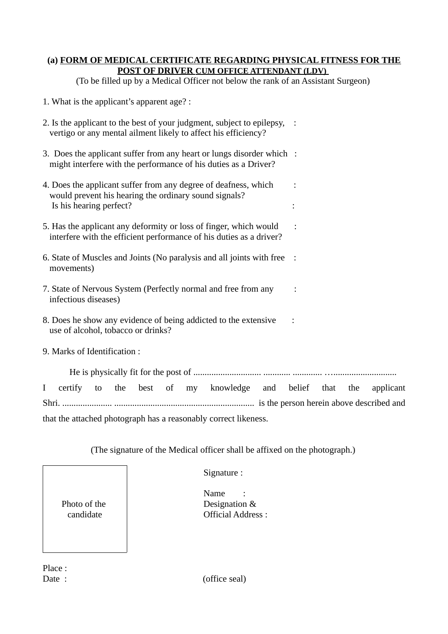## **(a) FORM OF MEDICAL CERTIFICATE REGARDING PHYSICAL FITNESS FOR THE POST OF DRIVER CUM OFFICE ATTENDANT (LDV)**

(To be filled up by a Medical Officer not below the rank of an Assistant Surgeon)

- 1. What is the applicant's apparent age? :
- 2. Is the applicant to the best of your judgment, subject to epilepsy, : vertigo or any mental ailment likely to affect his efficiency?
- 3. Does the applicant suffer from any heart or lungs disorder which : might interfere with the performance of his duties as a Driver?
- 4. Does the applicant suffer from any degree of deafness, which : would prevent his hearing the ordinary sound signals? Is his hearing perfect? :
- 5. Has the applicant any deformity or loss of finger, which would : interfere with the efficient performance of his duties as a driver?
- 6. State of Muscles and Joints (No paralysis and all joints with free : movements)
- 7. State of Nervous System (Perfectly normal and free from any : infectious diseases)
- 8. Does he show any evidence of being addicted to the extensive : use of alcohol, tobacco or drinks?
- 9. Marks of Identification :

He is physically fit for the post of .............................. ............ ............. …............................ I certify to the best of my knowledge and belief that the applicant Shri. ...................... .............................................................. is the person herein above described and that the attached photograph has a reasonably correct likeness.

(The signature of the Medical officer shall be affixed on the photograph.)

Photo of the candidate

Signature :

Name Designation & Official Address :

Place :

Date : (office seal)